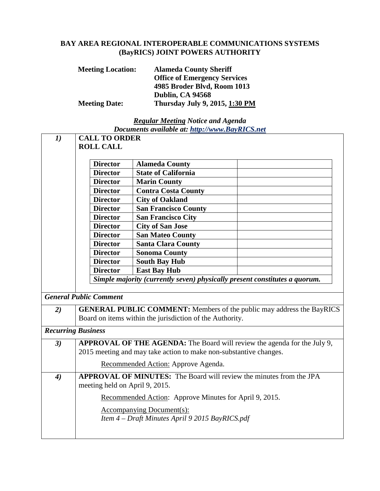## **BAY AREA REGIONAL INTEROPERABLE COMMUNICATIONS SYSTEMS (BayRICS) JOINT POWERS AUTHORITY**

| <b>Meeting Location:</b> | <b>Alameda County Sheriff</b>       |
|--------------------------|-------------------------------------|
|                          | <b>Office of Emergency Services</b> |
|                          | 4985 Broder Blvd, Room 1013         |
|                          | Dublin, CA 94568                    |
| <b>Meeting Date:</b>     | Thursday July 9, 2015, 1:30 PM      |

## *Regular Meeting Notice and Agenda Documents available at: http://www.BayRICS.net*

| $\boldsymbol{\mathit{1}})$    | <b>CALL TO ORDER</b>                                                         |                                                                            |  |
|-------------------------------|------------------------------------------------------------------------------|----------------------------------------------------------------------------|--|
|                               | <b>ROLL CALL</b>                                                             |                                                                            |  |
|                               |                                                                              |                                                                            |  |
|                               | <b>Director</b>                                                              | <b>Alameda County</b>                                                      |  |
|                               | <b>Director</b>                                                              | <b>State of California</b>                                                 |  |
|                               | <b>Director</b>                                                              | <b>Marin County</b>                                                        |  |
|                               | <b>Director</b>                                                              | <b>Contra Costa County</b>                                                 |  |
|                               | <b>Director</b>                                                              | <b>City of Oakland</b>                                                     |  |
|                               | <b>Director</b>                                                              | <b>San Francisco County</b>                                                |  |
|                               | <b>Director</b>                                                              | <b>San Francisco City</b>                                                  |  |
|                               | <b>Director</b>                                                              | <b>City of San Jose</b>                                                    |  |
|                               | <b>Director</b>                                                              | <b>San Mateo County</b>                                                    |  |
|                               | <b>Director</b>                                                              | <b>Santa Clara County</b>                                                  |  |
|                               | <b>Director</b>                                                              | <b>Sonoma County</b>                                                       |  |
|                               | <b>Director</b>                                                              | <b>South Bay Hub</b>                                                       |  |
|                               | <b>Director</b>                                                              | <b>East Bay Hub</b>                                                        |  |
|                               |                                                                              | Simple majority (currently seven) physically present constitutes a quorum. |  |
|                               |                                                                              |                                                                            |  |
| <b>General Public Comment</b> |                                                                              |                                                                            |  |
| 2)                            | <b>GENERAL PUBLIC COMMENT:</b> Members of the public may address the BayRICS |                                                                            |  |
|                               | Board on items within the jurisdiction of the Authority.                     |                                                                            |  |
| <b>Recurring Business</b>     |                                                                              |                                                                            |  |
|                               |                                                                              |                                                                            |  |
| 3)                            | APPROVAL OF THE AGENDA: The Board will review the agenda for the July 9,     |                                                                            |  |
|                               |                                                                              | 2015 meeting and may take action to make non-substantive changes.          |  |
|                               |                                                                              | Recommended Action: Approve Agenda.                                        |  |
| $\boldsymbol{4}$              | <b>APPROVAL OF MINUTES:</b> The Board will review the minutes from the JPA   |                                                                            |  |
|                               | meeting held on April 9, 2015.                                               |                                                                            |  |
|                               | Recommended Action: Approve Minutes for April 9, 2015.                       |                                                                            |  |
|                               | <b>Accompanying Document(s):</b>                                             |                                                                            |  |
|                               | Item 4 - Draft Minutes April 9 2015 BayRICS.pdf                              |                                                                            |  |
|                               |                                                                              |                                                                            |  |
|                               |                                                                              |                                                                            |  |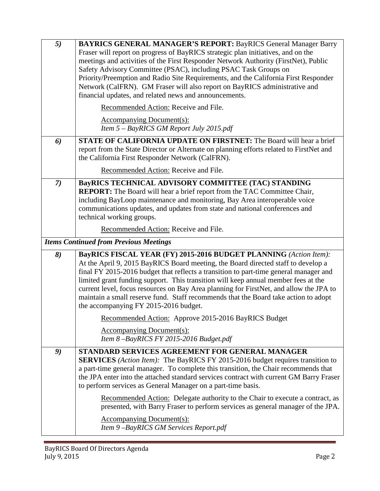| 5)                                            | <b>BAYRICS GENERAL MANAGER'S REPORT: BayRICS General Manager Barry</b><br>Fraser will report on progress of BayRICS strategic plan initiatives, and on the<br>meetings and activities of the First Responder Network Authority (FirstNet), Public<br>Safety Advisory Committee (PSAC), including PSAC Task Groups on<br>Priority/Preemption and Radio Site Requirements, and the California First Responder<br>Network (CalFRN). GM Fraser will also report on BayRICS administrative and<br>financial updates, and related news and announcements.<br>Recommended Action: Receive and File. |  |
|-----------------------------------------------|----------------------------------------------------------------------------------------------------------------------------------------------------------------------------------------------------------------------------------------------------------------------------------------------------------------------------------------------------------------------------------------------------------------------------------------------------------------------------------------------------------------------------------------------------------------------------------------------|--|
|                                               | Accompanying Document(s):<br>Item 5 - BayRICS GM Report July 2015.pdf                                                                                                                                                                                                                                                                                                                                                                                                                                                                                                                        |  |
| 6)                                            | <b>STATE OF CALIFORNIA UPDATE ON FIRSTNET:</b> The Board will hear a brief<br>report from the State Director or Alternate on planning efforts related to FirstNet and<br>the California First Responder Network (CalFRN).<br>Recommended Action: Receive and File.                                                                                                                                                                                                                                                                                                                           |  |
| (7)                                           | <b>BayRICS TECHNICAL ADVISORY COMMITTEE (TAC) STANDING</b><br>REPORT: The Board will hear a brief report from the TAC Committee Chair,<br>including BayLoop maintenance and monitoring, Bay Area interoperable voice<br>communications updates, and updates from state and national conferences and<br>technical working groups.                                                                                                                                                                                                                                                             |  |
|                                               | Recommended Action: Receive and File.                                                                                                                                                                                                                                                                                                                                                                                                                                                                                                                                                        |  |
| <b>Items Continued from Previous Meetings</b> |                                                                                                                                                                                                                                                                                                                                                                                                                                                                                                                                                                                              |  |
| 8)                                            | BayRICS FISCAL YEAR (FY) 2015-2016 BUDGET PLANNING (Action Item):<br>At the April 9, 2015 BayRICS Board meeting, the Board directed staff to develop a<br>final FY 2015-2016 budget that reflects a transition to part-time general manager and<br>limited grant funding support. This transition will keep annual member fees at the<br>current level, focus resources on Bay Area planning for FirstNet, and allow the JPA to<br>maintain a small reserve fund. Staff recommends that the Board take action to adopt                                                                       |  |
|                                               | the accompanying FY 2015-2016 budget.                                                                                                                                                                                                                                                                                                                                                                                                                                                                                                                                                        |  |
|                                               | Recommended Action: Approve 2015-2016 BayRICS Budget                                                                                                                                                                                                                                                                                                                                                                                                                                                                                                                                         |  |
|                                               | <b>Accompanying Document(s):</b><br>Item 8-BayRICS FY 2015-2016 Budget.pdf                                                                                                                                                                                                                                                                                                                                                                                                                                                                                                                   |  |
| 9)                                            | STANDARD SERVICES AGREEMENT FOR GENERAL MANAGER<br><b>SERVICES</b> (Action Item): The BayRICS FY 2015-2016 budget requires transition to<br>a part-time general manager. To complete this transition, the Chair recommends that<br>the JPA enter into the attached standard services contract with current GM Barry Fraser<br>to perform services as General Manager on a part-time basis.                                                                                                                                                                                                   |  |

and a